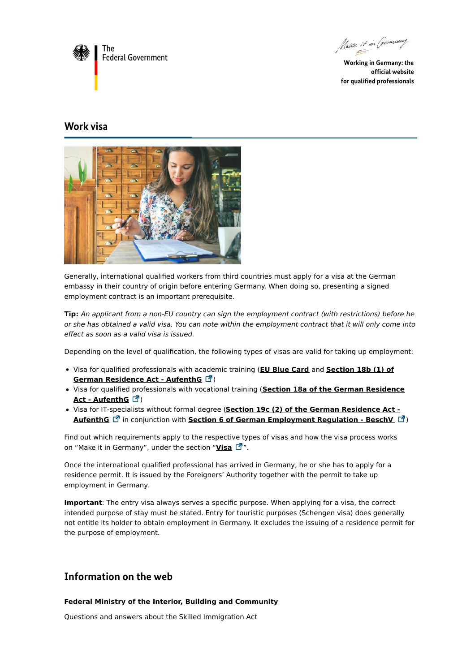

Make it in Germany

**Working in Germany: the official website for qualified professionals**

## **Work visa**



Generally, international qualified workers from third countries must apply for a visa at the German embassy in their country of origin before entering Germany. When doing so, presenting a signed employment contract is an important prerequisite.

**Tip:** An applicant from a non-EU country can sign the employment contract (with restrictions) before he or she has obtained a valid visa. You can note within the employment contract that it will only come into effect as soon as a valid visa is issued.

Depending on the level of qualification, the following types of visas are valid for taking up employment:

- Visa for qualified [professionals](http://www.gesetze-im-internet.de/englisch_aufenthg/englisch_aufenthg.html#p0406) with academic training (**EU Blue [Card](https://www.make-it-in-germany.com/en/visa/kinds-of-visa/eu-blue-card)** and **Section 18b (1) of German Residence Act - AufenthG** )
- Visa for qualified [professionals](http://www.gesetze-im-internet.de/englisch_aufenthg/englisch_aufenthg.html#p0404) with vocational training (**Section 18a of the German Residence Act - AufenthG** )
- Visa for IT-specialists without formal degree (**Section 19c (2) of the German Residence Act - AufenthG** in conjunction with **Section 6 of German [Employment](http://www.gesetze-im-internet.de/englisch_aufenthg/englisch_aufenthg.html#p0518) Regulation - BeschV** )

Find out which requirements apply to the respective types of visas and how the visa process works on "Make it in Germany", under the section "**[Visa](https://www.make-it-in-germany.com/en/visa/kinds-of-visa/work-qualified-professionals)**  $\mathbb{Z}^n$ ".

Once the international qualified professional has arrived in Germany, he or she has to apply for a residence permit. It is issued by the Foreigners' Authority together with the permit to take up employment in Germany.

**Important**: The entry visa always serves a specific purpose. When applying for a visa, the correct intended purpose of stay must be stated. Entry for touristic purposes (Schengen visa) does generally not entitle its holder to obtain employment in Germany. It excludes the issuing of a residence permit for the purpose of employment.

## **Information on the web**

## **Federal Ministry of the Interior, Building and Community**

Questions and answers about the Skilled [Immigration](https://www.bmi.bund.de/SharedDocs/faqs/DE/themen/migration/fachkraefteeinwanderung/faqs-fachkraefteeinwanderungsgesetz.html) Act